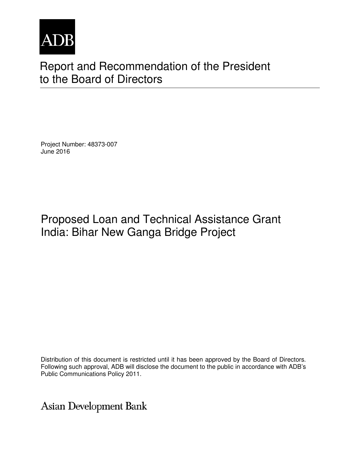

# Report and Recommendation of the President to the Board of Directors

Project Number: 48373-007 June 2016

# Proposed Loan and Technical Assistance Grant India: Bihar New Ganga Bridge Project

Distribution of this document is restricted until it has been approved by the Board of Directors. Following such approval, ADB will disclose the document to the public in accordance with ADB's Public Communications Policy 2011.

**Asian Development Bank**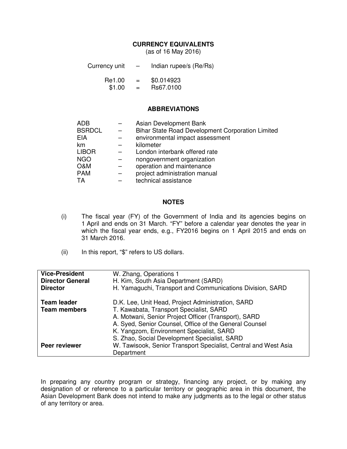#### **CURRENCY EQUIVALENTS**

(as of 16 May 2016)

| Currency unit | Indian rupee/s (Re/Rs) |
|---------------|------------------------|
|               |                        |

| Re1.00 | = | \$0.014923 |
|--------|---|------------|
| \$1.00 | = | Rs67.0100  |

#### **ABBREVIATIONS**

| <b>ADB</b>    | Asian Development Bank                           |
|---------------|--------------------------------------------------|
| <b>BSRDCL</b> | Bihar State Road Development Corporation Limited |
| <b>EIA</b>    | environmental impact assessment                  |
| km            | kilometer                                        |
| <b>LIBOR</b>  | London interbank offered rate                    |
| <b>NGO</b>    | nongovernment organization                       |
| O&M           | operation and maintenance                        |
| <b>PAM</b>    | project administration manual                    |
| TA            | technical assistance                             |
|               |                                                  |

#### **NOTES**

- (i) The fiscal year (FY) of the Government of India and its agencies begins on 1 April and ends on 31 March. "FY" before a calendar year denotes the year in which the fiscal year ends, e.g., FY2016 begins on 1 April 2015 and ends on 31 March 2016.
- (ii) In this report, "\$" refers to US dollars.

| <b>Vice-President</b><br><b>Director General</b><br><b>Director</b> | W. Zhang, Operations 1<br>H. Kim, South Asia Department (SARD)<br>H. Yamaguchi, Transport and Communications Division, SARD                                                                                                                                                                                |
|---------------------------------------------------------------------|------------------------------------------------------------------------------------------------------------------------------------------------------------------------------------------------------------------------------------------------------------------------------------------------------------|
| <b>Team leader</b><br><b>Team members</b>                           | D.K. Lee, Unit Head, Project Administration, SARD<br>T. Kawabata, Transport Specialist, SARD<br>A. Motwani, Senior Project Officer (Transport), SARD<br>A. Syed, Senior Counsel, Office of the General Counsel<br>K. Yangzom, Environment Specialist, SARD<br>S. Zhao, Social Development Specialist, SARD |
| <b>Peer reviewer</b>                                                | W. Tawisook, Senior Transport Specialist, Central and West Asia<br>Department                                                                                                                                                                                                                              |

In preparing any country program or strategy, financing any project, or by making any designation of or reference to a particular territory or geographic area in this document, the Asian Development Bank does not intend to make any judgments as to the legal or other status of any territory or area.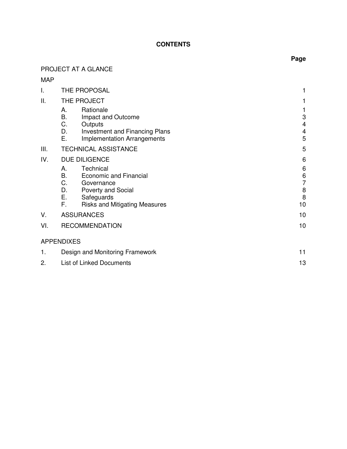## **CONTENTS**

# PROJECT AT A GLANCE

|--|--|

| I.  | THE PROPOSAL                                                                                                                                                                                       |                                                     |
|-----|----------------------------------------------------------------------------------------------------------------------------------------------------------------------------------------------------|-----------------------------------------------------|
| ΙΙ. | THE PROJECT                                                                                                                                                                                        |                                                     |
|     | Rationale<br>А.<br>В.<br>Impact and Outcome<br>C.<br>Outputs<br>D.<br><b>Investment and Financing Plans</b><br>Ε.<br><b>Implementation Arrangements</b>                                            | 3<br>$\overline{4}$<br>$\overline{\mathbf{4}}$<br>5 |
| Ш.  | <b>TECHNICAL ASSISTANCE</b>                                                                                                                                                                        | 5                                                   |
| IV. | <b>DUE DILIGENCE</b>                                                                                                                                                                               | 6                                                   |
|     | Technical<br>А.<br><b>B.</b><br><b>Economic and Financial</b><br>C.<br>Governance<br>D.<br><b>Poverty and Social</b><br>$E_{\rm{max}}$<br>Safeguards<br>F.<br><b>Risks and Mitigating Measures</b> | 6<br>6<br>$\overline{7}$<br>8<br>8<br>10            |
| V.  | <b>ASSURANCES</b><br>10                                                                                                                                                                            |                                                     |
| VI. | <b>RECOMMENDATION</b>                                                                                                                                                                              |                                                     |
|     | <b>APPENDIXES</b>                                                                                                                                                                                  |                                                     |
| 1.  | Design and Monitoring Framework<br>11                                                                                                                                                              |                                                     |
| 2.  | <b>List of Linked Documents</b><br>13                                                                                                                                                              |                                                     |

# **Page**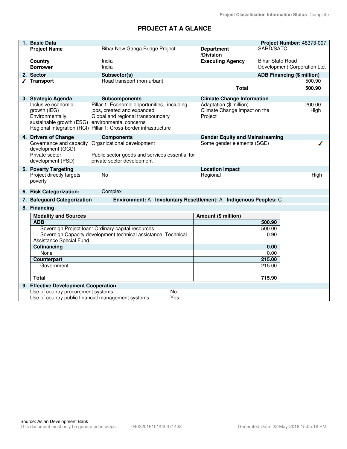## **PROJECT AT A GLANCE**

| 1. Basic Data                                                                                            |                                                                                                                                                                                    |                                                                    | Project Number: 48373-007    |
|----------------------------------------------------------------------------------------------------------|------------------------------------------------------------------------------------------------------------------------------------------------------------------------------------|--------------------------------------------------------------------|------------------------------|
| <b>Project Name</b>                                                                                      | Bihar New Ganga Bridge Project                                                                                                                                                     | <b>Department</b>                                                  | SARD/SATC                    |
|                                                                                                          |                                                                                                                                                                                    | /Division                                                          |                              |
| Country                                                                                                  | India                                                                                                                                                                              | <b>Executing Agency</b>                                            | <b>Bihar State Road</b>      |
| <b>Borrower</b>                                                                                          | India                                                                                                                                                                              |                                                                    | Development Corporation Ltd. |
| 2. Sector                                                                                                | Subsector(s)                                                                                                                                                                       |                                                                    | ADB Financing (\$ million)   |
| <b>Transport</b>                                                                                         | Road transport (non-urban)                                                                                                                                                         |                                                                    | 500.90                       |
|                                                                                                          |                                                                                                                                                                                    | <b>Total</b>                                                       | 500.90                       |
| 3. Strategic Agenda                                                                                      | <b>Subcomponents</b>                                                                                                                                                               | <b>Climate Change Information</b>                                  |                              |
| Inclusive economic<br>growth (IEG)<br>Environmentally<br>sustainable growth (ESG) environmental concerns | Pillar 1: Economic opportunities, including<br>jobs, created and expanded<br>Global and regional transboundary<br>Regional integration (RCI) Pillar 1: Cross-border infrastructure | Adaptation (\$ million)<br>Climate Change impact on the<br>Project | 200.00<br>High               |
| 4. Drivers of Change                                                                                     | <b>Components</b>                                                                                                                                                                  | <b>Gender Equity and Mainstreaming</b>                             |                              |
| development (GCD)<br>Private sector<br>development (PSD)                                                 | Governance and capacity Organizational development<br>Public sector goods and services essential for<br>private sector development                                                 | Some gender elements (SGE)                                         |                              |
| 5. Poverty Targeting                                                                                     |                                                                                                                                                                                    | <b>Location Impact</b>                                             |                              |
| Project directly targets<br>poverty                                                                      | No                                                                                                                                                                                 | Regional                                                           | High                         |
| 6. Risk Categorization:                                                                                  | Complex                                                                                                                                                                            |                                                                    |                              |
| 7. Safeguard Categorization                                                                              | Environment: A Involuntary Resettlement: A Indigenous Peoples: C                                                                                                                   |                                                                    |                              |
| 8. Financing                                                                                             |                                                                                                                                                                                    |                                                                    |                              |
| <b>Modality and Sources</b>                                                                              |                                                                                                                                                                                    | Amount (\$ million)                                                |                              |
| <b>ADB</b>                                                                                               |                                                                                                                                                                                    |                                                                    | 500.90                       |
|                                                                                                          | Sovereign Project Ioan: Ordinary capital resources                                                                                                                                 |                                                                    | 500.00                       |
|                                                                                                          | Sovereign Capacity development technical assistance: Technical                                                                                                                     |                                                                    | 0.90                         |
| Assistance Special Fund                                                                                  |                                                                                                                                                                                    |                                                                    |                              |
| Cofinancing                                                                                              |                                                                                                                                                                                    |                                                                    | 0.00                         |
| None<br>Counterpart                                                                                      |                                                                                                                                                                                    |                                                                    | 0.00<br>215.00               |
| Government                                                                                               |                                                                                                                                                                                    |                                                                    | 215.00                       |
|                                                                                                          |                                                                                                                                                                                    |                                                                    |                              |
| <b>Total</b>                                                                                             |                                                                                                                                                                                    |                                                                    | 715.90                       |
| 9. Effective Development Cooperation                                                                     |                                                                                                                                                                                    |                                                                    |                              |
| Use of country procurement systems                                                                       | No                                                                                                                                                                                 |                                                                    |                              |
| Use of country public financial management systems                                                       | Yes                                                                                                                                                                                |                                                                    |                              |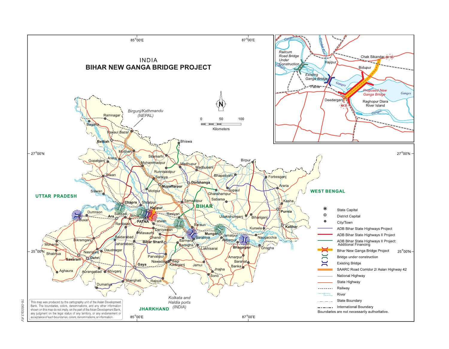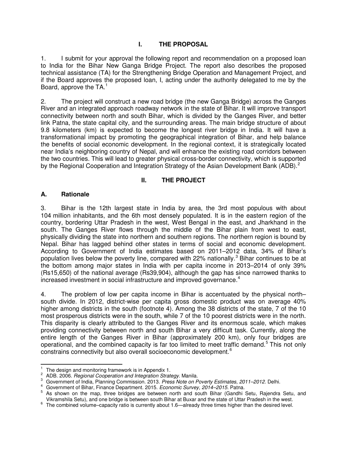## **I. THE PROPOSAL**

1. I submit for your approval the following report and recommendation on a proposed loan to India for the Bihar New Ganga Bridge Project. The report also describes the proposed technical assistance (TA) for the Strengthening Bridge Operation and Management Project, and if the Board approves the proposed loan, I, acting under the authority delegated to me by the Board, approve the  $TA$ <sup>[1](#page-6-0)</sup>

2. The project will construct a new road bridge (the new Ganga Bridge) across the Ganges River and an integrated approach roadway network in the state of Bihar. It will improve transport connectivity between north and south Bihar, which is divided by the Ganges River, and better link Patna, the state capital city, and the surrounding areas. The main bridge structure of about 9.8 kilometers (km) is expected to become the longest river bridge in India. It will have a transformational impact by promoting the geographical integration of Bihar, and help balance the benefits of social economic development. In the regional context, it is strategically located near India's neighboring country of Nepal, and will enhance the existing road corridors between the two countries. This will lead to greater physical cross-border connectivity, which is supported by the Regional Cooperation and Integration Strategy of the Asian Development Bank (ADB).<sup>[2](#page-6-1)</sup>

## **II. THE PROJECT**

## **A. Rationale**

3. Bihar is the 12th largest state in India by area, the 3rd most populous with about 104 million inhabitants, and the 6th most densely populated. It is in the eastern region of the country, bordering Uttar Pradesh in the west, West Bengal in the east, and Jharkhand in the south. The Ganges River flows through the middle of the Bihar plain from west to east, physically dividing the state into northern and southern regions. The northern region is bound by Nepal. Bihar has lagged behind other states in terms of social and economic development. According to Government of India estimates based on 2011–2012 data, 34% of Bihar's population lives below the poverty line, compared with 22% nationally.<sup>[3](#page-6-2)</sup> Bihar continues to be at the bottom among major states in India with per capita income in 2013–2014 of only 39% (Rs15,650) of the national average (Rs39,904), although the gap has since narrowed thanks to increased investment in social infrastructure and improved governance.<sup>[4](#page-6-3)</sup>

4. The problem of low per capita income in Bihar is accentuated by the physical north– south divide. In 2012, district-wise per capita gross domestic product was on average 40% higher among districts in the south (footnote 4). Among the 38 districts of the state, 7 of the 10 most prosperous districts were in the south, while 7 of the 10 poorest districts were in the north. This disparity is clearly attributed to the Ganges River and its enormous scale, which makes providing connectivity between north and south Bihar a very difficult task. Currently, along the entire length of the Ganges River in Bihar (approximately 200 km), only four bridges are operational, and the combined capacity is far too limited to meet traffic demand.<sup>[5](#page-6-4)</sup> This not only constrains connectivity but also overall socioeconomic development.[6](#page-6-5)

 $\overline{a}$ 1 The design and monitoring framework is in Appendix 1.

<span id="page-6-2"></span><span id="page-6-1"></span><span id="page-6-0"></span><sup>2</sup> ADB. 2006. Regional Cooperation and Integration Strategy. Manila.

<sup>3</sup> Government of India, Planning Commission. 2013. Press Note on Poverty Estimates, 2011–2012. Delhi.

<span id="page-6-3"></span><sup>4</sup> Government of Bihar, Finance Department. 2015. Economic Survey, 2014–2015. Patna.

<span id="page-6-4"></span><sup>5</sup> As shown on the map, three bridges are between north and south Bihar (Gandhi Setu, Rajendra Setu, and Vikramshila Setu), and one bridge is between south Bihar at Buxar and the state of Uttar Pradesh in the west.

<span id="page-6-5"></span><sup>&</sup>lt;sup>6</sup> The combined volume–capacity ratio is currently about 1.6—already three times higher than the desired level.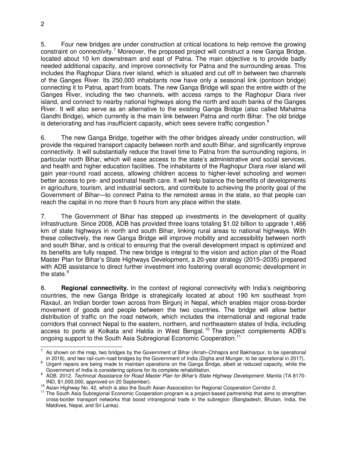5. Four new bridges are under construction at critical locations to help remove the growing constraint on connectivity.<sup>[7](#page-7-0)</sup> Moreover, the proposed project will construct a new Ganga Bridge, located about 10 km downstream and east of Patna. The main objective is to provide badly needed additional capacity, and improve connectivity for Patna and the surrounding areas. This includes the Raghopur Diara river island, which is situated and cut off in between two channels of the Ganges River. Its 250,000 inhabitants now have only a seasonal link (pontoon bridge) connecting it to Patna, apart from boats. The new Ganga Bridge will span the entire width of the Ganges River, including the two channels, with access ramps to the Raghopur Diara river island, and connect to nearby national highways along the north and south banks of the Ganges River. It will also serve as an alternative to the existing Ganga Bridge (also called Mahatma Gandhi Bridge), which currently is the main link between Patna and north Bihar. The old bridge is deteriorating and has insufficient capacity, which sees severe traffic congestion. $8$ 

6. The new Ganga Bridge, together with the other bridges already under construction, will provide the required transport capacity between north and south Bihar, and significantly improve connectivity. It will substantially reduce the travel time to Patna from the surrounding regions, in particular north Bihar, which will ease access to the state's administrative and social services, and health and higher education facilities. The inhabitants of the Raghopur Diara river island will gain year-round road access, allowing children access to higher-level schooling and women better access to pre- and postnatal health care. It will help balance the benefits of developments in agriculture, tourism, and industrial sectors, and contribute to achieving the priority goal of the Government of Bihar—to connect Patna to the remotest areas in the state, so that people can reach the capital in no more than 6 hours from any place within the state.

7. The Government of Bihar has stepped up investments in the development of quality infrastructure. Since 2008, ADB has provided three loans totaling \$1.02 billion to upgrade 1,466 km of state highways in north and south Bihar, linking rural areas to national highways. With these collectively, the new Ganga Bridge will improve mobility and accessibility between north and south Bihar, and is critical to ensuring that the overall development impact is optimized and its benefits are fully reaped. The new bridge is integral to the vision and action plan of the Road Master Plan for Bihar's State Highways Development, a 20-year strategy (2015–2035) prepared with ADB assistance to direct further investment into fostering overall economic development in the state. $9$ 

8. **Regional connectivity.** In the context of regional connectivity with India's neighboring countries, the new Ganga Bridge is strategically located at about 190 km southeast from Raxaul, an Indian border town across from Birgunj in Nepal, which enables major cross-border movement of goods and people between the two countries. The bridge will allow better distribution of traffic on the road network, which includes the international and regional trade corridors that connect Nepal to the eastern, northern, and northeastern states of India, including access to ports at Kolkata and Haldia in West Bengal.<sup>[10](#page-7-3)</sup> The project complements ADB's ongoing support to the South Asia Subregional Economic Cooperation.<sup>[11](#page-7-4)</sup>

<span id="page-7-0"></span> $\frac{1}{7}$  As shown on the map, two bridges by the Government of Bihar (Arrah–Chhapra and Bakhiarpur, to be operational in 2018), and two rail-cum-road bridges by the Government of India (Digha and Munger, to be operational in 2017).

<span id="page-7-1"></span><sup>&</sup>lt;sup>8</sup> Urgent repairs are being made to maintain operations on the Ganga Bridge, albeit at reduced capacity, while the Government of India is considering options for its complete rehabilitation.

<span id="page-7-2"></span><sup>&</sup>lt;sup>9</sup> ADB. 2012. Technical Assistance for Road Master Plan for Bihar's State Highway Development. Manila (TA 8170-IND, \$1,000,000, approved on 20 September).

<sup>&</sup>lt;sup>10</sup> Asian Highway No. 42, which is also the South Asian Association for Regional Cooperation Corridor 2.

<span id="page-7-4"></span><span id="page-7-3"></span><sup>&</sup>lt;sup>11</sup> The South Asia Subregional Economic Cooperation program is a project-based partnership that aims to strengthen cross-border transport networks that boost intraregional trade in the subregion (Bangladesh, Bhutan, India, the Maldives, Nepal, and Sri Lanka).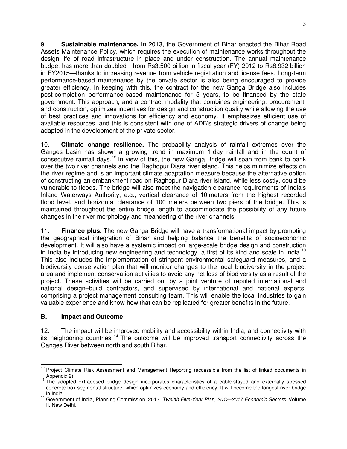9. **Sustainable maintenance.** In 2013, the Government of Bihar enacted the Bihar Road Assets Maintenance Policy, which requires the execution of maintenance works throughout the design life of road infrastructure in place and under construction. The annual maintenance budget has more than doubled—from Rs3.500 billion in fiscal year (FY) 2012 to Rs8.932 billion in FY2015—thanks to increasing revenue from vehicle registration and license fees. Long-term performance-based maintenance by the private sector is also being encouraged to provide greater efficiency. In keeping with this, the contract for the new Ganga Bridge also includes post-completion performance-based maintenance for 5 years, to be financed by the state government. This approach, and a contract modality that combines engineering, procurement, and construction, optimizes incentives for design and construction quality while allowing the use of best practices and innovations for efficiency and economy. It emphasizes efficient use of available resources, and this is consistent with one of ADB's strategic drivers of change being adapted in the development of the private sector.

10. **Climate change resilience.** The probability analysis of rainfall extremes over the Ganges basin has shown a growing trend in maximum 1-day rainfall and in the count of consecutive rainfall days.<sup>[12](#page-8-0)</sup> In view of this, the new Ganga Bridge will span from bank to bank over the two river channels and the Raghopur Diara river island. This helps minimize effects on the river regime and is an important climate adaptation measure because the alternative option of constructing an embankment road on Raghopur Diara river island, while less costly, could be vulnerable to floods. The bridge will also meet the navigation clearance requirements of India's Inland Waterways Authority, e.g., vertical clearance of 10 meters from the highest recorded flood level, and horizontal clearance of 100 meters between two piers of the bridge. This is maintained throughout the entire bridge length to accommodate the possibility of any future changes in the river morphology and meandering of the river channels.

11. **Finance plus.** The new Ganga Bridge will have a transformational impact by promoting the geographical integration of Bihar and helping balance the benefits of socioeconomic development. It will also have a systemic impact on large-scale bridge design and construction in India by introducing new engineering and technology, a first of its kind and scale in India.<sup>[13](#page-8-1)</sup> This also includes the implementation of stringent environmental safeguard measures, and a biodiversity conservation plan that will monitor changes to the local biodiversity in the project area and implement conservation activities to avoid any net loss of biodiversity as a result of the project. These activities will be carried out by a joint venture of reputed international and national design–build contractors, and supervised by international and national experts, comprising a project management consulting team. This will enable the local industries to gain valuable experience and know-how that can be replicated for greater benefits in the future.

## **B. Impact and Outcome**

12. The impact will be improved mobility and accessibility within India, and connectivity with its neighboring countries.<sup>[14](#page-8-2)</sup> The outcome will be improved transport connectivity across the Ganges River between north and south Bihar.

<span id="page-8-0"></span> $\overline{a}$ <sup>12</sup> Project Climate Risk Assessment and Management Reporting (accessible from the list of linked documents in

<span id="page-8-1"></span>a Appendix 2).<br><sup>13</sup> The adopted extradosed bridge design incorporates characteristics of a cable-stayed and externally stressed concrete-box segmental structure, which optimizes economy and efficiency. It will become the longest river bridge

<span id="page-8-2"></span>in India. 14 Government of India, Planning Commission. 2013. Twelfth Five-Year Plan, 2012–2017 Economic Sectors. Volume II. New Delhi.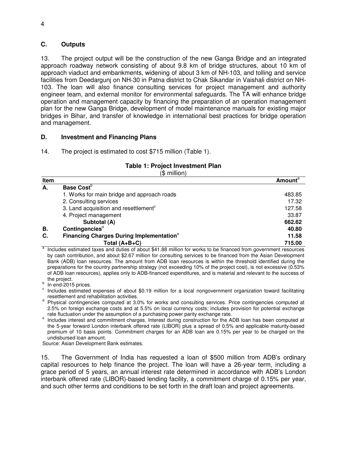#### **C. Outputs**

13. The project output will be the construction of the new Ganga Bridge and an integrated approach roadway network consisting of about 9.8 km of bridge structures, about 10 km of approach viaduct and embankments, widening of about 3 km of NH-103, and tolling and service facilities from Deedargunj on NH-30 in Patna district to Chak Sikandar in Vaishali district on NH-103. The loan will also finance consulting services for project management and authority engineer team, and external monitor for environmental safeguards. The TA will enhance bridge operation and management capacity by financing the preparation of an operation management plan for the new Ganga Bridge, development of model maintenance manuals for existing major bridges in Bihar, and transfer of knowledge in international best practices for bridge operation and management.

## **D. Investment and Financing Plans**

14. The project is estimated to cost \$715 million (Table 1).

## **Table 1: Project Investment Plan**

(\$ million)

| Item |                                                             | <b>Amount</b> <sup>a</sup> |
|------|-------------------------------------------------------------|----------------------------|
| А.   | Base Cost <sup>b</sup>                                      |                            |
|      | 1. Works for main bridge and approach roads                 | 483.85                     |
|      | 2. Consulting services                                      | 17.32                      |
|      | 3. Land acquisition and resettlement <sup>c</sup>           | 127.58                     |
|      | 4. Project management                                       | 33.87                      |
|      | Subtotal (A)                                                | 662.62                     |
| В.   | Contingencies <sup>d</sup>                                  | 40.80                      |
| C.   | <b>Financing Charges During Implementation</b> <sup>e</sup> | 11.58                      |
|      | Total $(A+B+C)$                                             | 715.00                     |

a Includes estimated taxes and duties of about \$41.88 million for works to be financed from government resources by cash contribution, and about \$2.67 million for consulting services to be financed from the Asian Development Bank (ADB) loan resources. The amount from ADB loan resources is within the threshold identified during the preparations for the country partnership strategy (not exceeding 10% of the project cost), is not excessive (0.53% of ADB loan resources), applies only to ADB-financed expenditures, and is material and relevant to the success of the project.

<sup>b</sup> In end-2015 prices.

c Includes estimated expenses of about \$0.19 million for a local nongovernment organization toward facilitating resettlement and rehabilitation activities.

<sup>d</sup> Physical contingencies computed at 3.0% for works and consulting services. Price contingencies computed at 2.5% on foreign exchange costs and at 5.5% on local currency costs; includes provision for potential exchange rate fluctuation under the assumption of a purchasing power parity exchange rate.

<sup>e</sup> Includes interest and commitment charges. Interest during construction for the ADB loan has been computed at the 5-year forward London interbank offered rate (LIBOR) plus a spread of 0.5% and applicable maturity-based premium of 10 basis points. Commitment charges for an ADB loan are 0.15% per year to be charged on the undisbursed loan amount.

Source: Asian Development Bank estimates.

15. The Government of India has requested a loan of \$500 million from ADB's ordinary capital resources to help finance the project. The loan will have a 26-year term, including a grace period of 5 years, an annual interest rate determined in accordance with ADB's London interbank offered rate (LIBOR)-based lending facility, a commitment charge of 0.15% per year, and such other terms and conditions to be set forth in the draft loan and project agreements.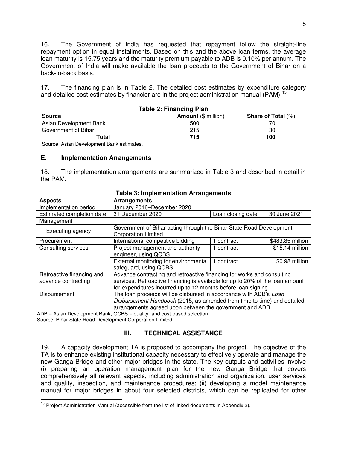16. The Government of India has requested that repayment follow the straight-line repayment option in equal installments. Based on this and the above loan terms, the average loan maturity is 15.75 years and the maturity premium payable to ADB is 0.10% per annum. The Government of India will make available the loan proceeds to the Government of Bihar on a back-to-back basis.

17. The financing plan is in Table 2. The detailed cost estimates by expenditure category and detailed cost estimates by financier are in the project administration manual (PAM).<sup>[15](#page-10-0)</sup>

| TADIC 2. FINANCING FIAM |                            |                           |
|-------------------------|----------------------------|---------------------------|
| <b>Source</b>           | <b>Amount (\$ million)</b> | <b>Share of Total (%)</b> |
| Asian Development Bank  | 500                        |                           |
| Government of Bihar     | 215                        | 30                        |
| Total                   | 715                        | 100                       |
|                         |                            |                           |

| Table 2: Financing Plan |  |  |
|-------------------------|--|--|
|                         |  |  |

Source: Asian Development Bank estimates.

#### **E. Implementation Arrangements**

18. The implementation arrangements are summarized in Table 3 and described in detail in the PAM.

| rable 3. implementation Afrangements |                                                                                                   |                   |                  |
|--------------------------------------|---------------------------------------------------------------------------------------------------|-------------------|------------------|
| <b>Aspects</b>                       | Arrangements                                                                                      |                   |                  |
| Implementation period                | January 2016-December 2020                                                                        |                   |                  |
| Estimated completion date            | 31 December 2020                                                                                  | Loan closing date | 30 June 2021     |
| Management                           |                                                                                                   |                   |                  |
| Executing agency                     | Government of Bihar acting through the Bihar State Road Development<br><b>Corporation Limited</b> |                   |                  |
|                                      |                                                                                                   |                   |                  |
| Procurement                          | International competitive bidding                                                                 | 1 contract        | \$483.85 million |
| Consulting services                  | Project management and authority                                                                  | 1 contract        | \$15.14 million  |
|                                      | engineer, using QCBS                                                                              |                   |                  |
|                                      | External monitoring for environmental                                                             | 1 contract        | \$0.98 million   |
|                                      | safeguard, using QCBS                                                                             |                   |                  |
| Retroactive financing and            | Advance contracting and retroactive financing for works and consulting                            |                   |                  |
| advance contracting                  | services. Retroactive financing is available for up to 20% of the loan amount                     |                   |                  |
|                                      | for expenditures incurred up to 12 months before loan signing.                                    |                   |                  |
| <b>Disbursement</b>                  | The loan proceeds will be disbursed in accordance with ADB's Loan                                 |                   |                  |
|                                      | Disbursement Handbook (2015, as amended from time to time) and detailed                           |                   |                  |
|                                      | arrangements agreed upon between the government and ADB.                                          |                   |                  |

#### **Table 3: Implementation Arrangements**

ADB = Asian Development Bank, QCBS = quality- and cost-based selection. Source: Bihar State Road Development Corporation Limited.

#### **III. TECHNICAL ASSISTANCE**

19. A capacity development TA is proposed to accompany the project. The objective of the TA is to enhance existing institutional capacity necessary to effectively operate and manage the new Ganga Bridge and other major bridges in the state. The key outputs and activities involve (i) preparing an operation management plan for the new Ganga Bridge that covers comprehensively all relevant aspects, including administration and organization, user services and quality, inspection, and maintenance procedures; (ii) developing a model maintenance manual for major bridges in about four selected districts, which can be replicated for other

<span id="page-10-0"></span> 15 Project Administration Manual (accessible from the list of linked documents in Appendix 2).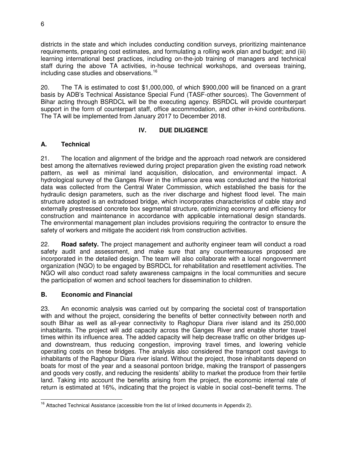districts in the state and which includes conducting condition surveys, prioritizing maintenance requirements, preparing cost estimates, and formulating a rolling work plan and budget; and (iii) learning international best practices, including on-the-job training of managers and technical staff during the above TA activities, in-house technical workshops, and overseas training, including case studies and observations. [16](#page-11-0)

20. The TA is estimated to cost \$1,000,000, of which \$900,000 will be financed on a grant basis by ADB's Technical Assistance Special Fund (TASF-other sources). The Government of Bihar acting through BSRDCL will be the executing agency. BSRDCL will provide counterpart support in the form of counterpart staff, office accommodation, and other in-kind contributions. The TA will be implemented from January 2017 to December 2018.

## **IV. DUE DILIGENCE**

## **A. Technical**

21. The location and alignment of the bridge and the approach road network are considered best among the alternatives reviewed during project preparation given the existing road network pattern, as well as minimal land acquisition, dislocation, and environmental impact. A hydrological survey of the Ganges River in the influence area was conducted and the historical data was collected from the Central Water Commission, which established the basis for the hydraulic design parameters, such as the river discharge and highest flood level. The main structure adopted is an extradosed bridge, which incorporates characteristics of cable stay and externally prestressed concrete box segmental structure, optimizing economy and efficiency for construction and maintenance in accordance with applicable international design standards. The environmental management plan includes provisions requiring the contractor to ensure the safety of workers and mitigate the accident risk from construction activities.

22. **Road safety.** The project management and authority engineer team will conduct a road safety audit and assessment, and make sure that any countermeasures proposed are incorporated in the detailed design. The team will also collaborate with a local nongovernment organization (NGO) to be engaged by BSRDCL for rehabilitation and resettlement activities. The NGO will also conduct road safety awareness campaigns in the local communities and secure the participation of women and school teachers for dissemination to children.

#### **B. Economic and Financial**

23. An economic analysis was carried out by comparing the societal cost of transportation with and without the project, considering the benefits of better connectivity between north and south Bihar as well as all-year connectivity to Raghopur Diara river island and its 250,000 inhabitants. The project will add capacity across the Ganges River and enable shorter travel times within its influence area. The added capacity will help decrease traffic on other bridges upand downstream, thus reducing congestion, improving travel times, and lowering vehicle operating costs on these bridges. The analysis also considered the transport cost savings to inhabitants of the Raghopur Diara river island. Without the project, those inhabitants depend on boats for most of the year and a seasonal pontoon bridge, making the transport of passengers and goods very costly, and reducing the residents' ability to market the produce from their fertile land. Taking into account the benefits arising from the project, the economic internal rate of return is estimated at 16%, indicating that the project is viable in social cost–benefit terms. The

<span id="page-11-0"></span> 16 Attached Technical Assistance (accessible from the list of linked documents in Appendix 2).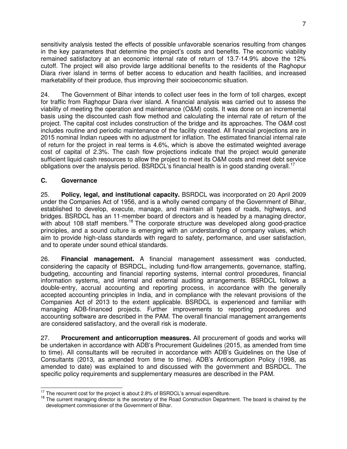sensitivity analysis tested the effects of possible unfavorable scenarios resulting from changes in the key parameters that determine the project's costs and benefits. The economic viability remained satisfactory at an economic internal rate of return of 13.7-14.9% above the 12% cutoff. The project will also provide large additional benefits to the residents of the Raghopur Diara river island in terms of better access to education and health facilities, and increased marketability of their produce, thus improving their socioeconomic situation.

24. The Government of Bihar intends to collect user fees in the form of toll charges, except for traffic from Raghopur Diara river island. A financial analysis was carried out to assess the viability of meeting the operation and maintenance (O&M) costs. It was done on an incremental basis using the discounted cash flow method and calculating the internal rate of return of the project. The capital cost includes construction of the bridge and its approaches. The O&M cost includes routine and periodic maintenance of the facility created. All financial projections are in 2015 nominal Indian rupees with no adjustment for inflation. The estimated financial internal rate of return for the project in real terms is 4.6%, which is above the estimated weighted average cost of capital of 2.3%. The cash flow projections indicate that the project would generate sufficient liquid cash resources to allow the project to meet its O&M costs and meet debt service obligations over the analysis period. BSRDCL's financial health is in good standing overall.<sup>[17](#page-12-0)</sup>

## **C. Governance**

25. **Policy, legal, and institutional capacity.** BSRDCL was incorporated on 20 April 2009 under the Companies Act of 1956, and is a wholly owned company of the Government of Bihar, established to develop, execute, manage, and maintain all types of roads, highways, and bridges. BSRDCL has an 11-member board of directors and is headed by a managing director, with about 108 staff members.<sup>[18](#page-12-1)</sup> The corporate structure was developed along good-practice principles, and a sound culture is emerging with an understanding of company values, which aim to provide high-class standards with regard to safety, performance, and user satisfaction, and to operate under sound ethical standards.

26. **Financial management.** A financial management assessment was conducted, considering the capacity of BSRDCL, including fund-flow arrangements, governance, staffing, budgeting, accounting and financial reporting systems, internal control procedures, financial information systems, and internal and external auditing arrangements. BSRDCL follows a double-entry, accrual accounting and reporting process, in accordance with the generally accepted accounting principles in India, and in compliance with the relevant provisions of the Companies Act of 2013 to the extent applicable. BSRDCL is experienced and familiar with managing ADB-financed projects. Further improvements to reporting procedures and accounting software are described in the PAM. The overall financial management arrangements are considered satisfactory, and the overall risk is moderate.

27. **Procurement and anticorruption measures.** All procurement of goods and works will be undertaken in accordance with ADB's Procurement Guidelines (2015, as amended from time to time). All consultants will be recruited in accordance with ADB's Guidelines on the Use of Consultants (2013, as amended from time to time). ADB's Anticorruption Policy (1998, as amended to date) was explained to and discussed with the government and BSRDCL. The specific policy requirements and supplementary measures are described in the PAM.

 17 The recurrent cost for the project is about 2.8% of BSRDCL's annual expenditure.

<span id="page-12-1"></span><span id="page-12-0"></span><sup>&</sup>lt;sup>18</sup> The current managing director is the secretary of the Road Construction Department. The board is chaired by the development commissioner of the Government of Bihar.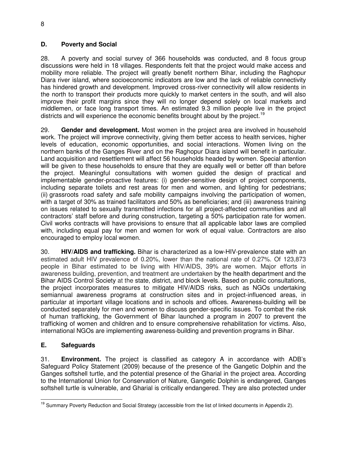## **D. Poverty and Social**

28. A poverty and social survey of 366 households was conducted, and 8 focus group discussions were held in 18 villages. Respondents felt that the project would make access and mobility more reliable. The project will greatly benefit northern Bihar, including the Raghopur Diara river island, where socioeconomic indicators are low and the lack of reliable connectivity has hindered growth and development. Improved cross-river connectivity will allow residents in the north to transport their products more quickly to market centers in the south, and will also improve their profit margins since they will no longer depend solely on local markets and middlemen, or face long transport times. An estimated 9.3 million people live in the project districts and will experience the economic benefits brought about by the project.<sup>[19](#page-13-0)</sup>

29. **Gender and development.** Most women in the project area are involved in household work. The project will improve connectivity, giving them better access to health services, higher levels of education, economic opportunities, and social interactions. Women living on the northern banks of the Ganges River and on the Raghopur Diara island will benefit in particular. Land acquisition and resettlement will affect 56 households headed by women. Special attention will be given to these households to ensure that they are equally well or better off than before the project. Meaningful consultations with women guided the design of practical and implementable gender-proactive features: (i) gender-sensitive design of project components, including separate toilets and rest areas for men and women, and lighting for pedestrians; (ii) grassroots road safety and safe mobility campaigns involving the participation of women, with a target of 30% as trained facilitators and 50% as beneficiaries; and (iii) awareness training on issues related to sexually transmitted infections for all project-affected communities and all contractors' staff before and during construction, targeting a 50% participation rate for women. Civil works contracts will have provisions to ensure that all applicable labor laws are complied with, including equal pay for men and women for work of equal value. Contractors are also encouraged to employ local women.

30. **HIV/AIDS and trafficking.** Bihar is characterized as a low-HIV-prevalence state with an estimated adult HIV prevalence of 0.20%, lower than the national rate of 0.27%. Of 123,873 people in Bihar estimated to be living with HIV/AIDS, 39% are women. Major efforts in awareness building, prevention, and treatment are undertaken by the health department and the Bihar AIDS Control Society at the state, district, and block levels. Based on public consultations, the project incorporates measures to mitigate HIV/AIDS risks, such as NGOs undertaking semiannual awareness programs at construction sites and in project-influenced areas, in particular at important village locations and in schools and offices. Awareness-building will be conducted separately for men and women to discuss gender-specific issues. To combat the risk of human trafficking, the Government of Bihar launched a program in 2007 to prevent the trafficking of women and children and to ensure comprehensive rehabilitation for victims. Also, international NGOs are implementing awareness-building and prevention programs in Bihar.

## **E. Safeguards**

31. **Environment.** The project is classified as category A in accordance with ADB's Safeguard Policy Statement (2009) because of the presence of the Gangetic Dolphin and the Ganges softshell turtle, and the potential presence of the Gharial in the project area. According to the International Union for Conservation of Nature, Gangetic Dolphin is endangered, Ganges softshell turtle is vulnerable, and Gharial is critically endangered. They are also protected under

<span id="page-13-0"></span> 19 Summary Poverty Reduction and Social Strategy (accessible from the list of linked documents in Appendix 2).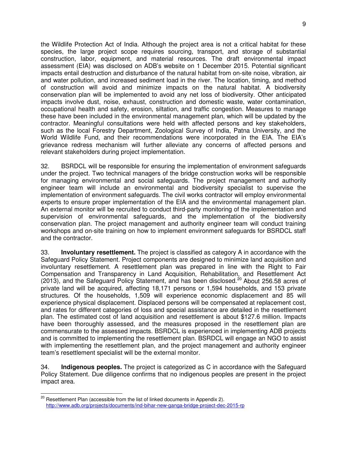the Wildlife Protection Act of India. Although the project area is not a critical habitat for these species, the large project scope requires sourcing, transport, and storage of substantial construction, labor, equipment, and material resources. The draft environmental impact assessment (EIA) was disclosed on ADB's website on 1 December 2015. Potential significant impacts entail destruction and disturbance of the natural habitat from on-site noise, vibration, air and water pollution, and increased sediment load in the river. The location, timing, and method of construction will avoid and minimize impacts on the natural habitat. A biodiversity conservation plan will be implemented to avoid any net loss of biodiversity. Other anticipated impacts involve dust, noise, exhaust, construction and domestic waste, water contamination, occupational health and safety, erosion, siltation, and traffic congestion. Measures to manage these have been included in the environmental management plan, which will be updated by the contractor. Meaningful consultations were held with affected persons and key stakeholders, such as the local Forestry Department, Zoological Survey of India, Patna University, and the World Wildlife Fund, and their recommendations were incorporated in the EIA. The EIA's grievance redress mechanism will further alleviate any concerns of affected persons and relevant stakeholders during project implementation.

32. BSRDCL will be responsible for ensuring the implementation of environment safeguards under the project. Two technical managers of the bridge construction works will be responsible for managing environmental and social safeguards. The project management and authority engineer team will include an environmental and biodiversity specialist to supervise the implementation of environment safeguards. The civil works contractor will employ environmental experts to ensure proper implementation of the EIA and the environmental management plan. An external monitor will be recruited to conduct third-party monitoring of the implementation and supervision of environmental safeguards, and the implementation of the biodiversity conservation plan. The project management and authority engineer team will conduct training workshops and on-site training on how to implement environment safeguards for BSRDCL staff and the contractor.

33. **Involuntary resettlement.** The project is classified as category A in accordance with the Safeguard Policy Statement. Project components are designed to minimize land acquisition and involuntary resettlement. A resettlement plan was prepared in line with the Right to Fair Compensation and Transparency in Land Acquisition, Rehabilitation, and Resettlement Act ([20](#page-14-0)13), and the Safeguard Policy Statement, and has been disclosed.<sup>20</sup> About 256.58 acres of private land will be acquired, affecting 18,171 persons or 1,594 households, and 153 private structures. Of the households, 1,509 will experience economic displacement and 85 will experience physical displacement. Displaced persons will be compensated at replacement cost, and rates for different categories of loss and special assistance are detailed in the resettlement plan. The estimated cost of land acquisition and resettlement is about \$127.6 million. Impacts have been thoroughly assessed, and the measures proposed in the resettlement plan are commensurate to the assessed impacts. BSRDCL is experienced in implementing ADB projects and is committed to implementing the resettlement plan. BSRDCL will engage an NGO to assist with implementing the resettlement plan, and the project management and authority engineer team's resettlement specialist will be the external monitor.

34. **Indigenous peoples.** The project is categorized as C in accordance with the Safeguard Policy Statement. Due diligence confirms that no indigenous peoples are present in the project impact area.

<span id="page-14-0"></span>l,  $^{20}$  Resettlement Plan (accessible from the list of linked documents in Appendix 2). <http://www.adb.org/projects/documents/ind-bihar-new-ganga-bridge-project-dec-2015-rp>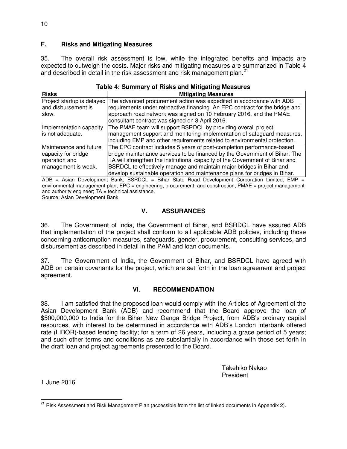## **F. Risks and Mitigating Measures**

35. The overall risk assessment is low, while the integrated benefits and impacts are expected to outweigh the costs. Major risks and mitigating measures are summarized in Table 4 and described in detail in the risk assessment and risk management plan.<sup>[21](#page-15-0)</sup>

#### **Table 4: Summary of Risks and Mitigating Measures**

| <b>Risks</b>            | <b>Mitigating Measures</b>                                                                      |
|-------------------------|-------------------------------------------------------------------------------------------------|
|                         | Project startup is delayed The advanced procurement action was expedited in accordance with ADB |
| and disbursement is     | requirements under retroactive financing. An EPC contract for the bridge and                    |
| slow.                   | approach road network was signed on 10 February 2016, and the PMAE                              |
|                         | consultant contract was signed on 8 April 2016.                                                 |
| Implementation capacity | The PMAE team will support BSRDCL by providing overall project                                  |
| is not adequate.        | management support and monitoring implementation of safeguard measures,                         |
|                         | including EMP and other requirements related to environmental protection.                       |
| Maintenance and future  | The EPC contract includes 5 years of post-completion performance-based                          |
| capacity for bridge     | bridge maintenance services to be financed by the Government of Bihar. The                      |
| operation and           | TA will strengthen the institutional capacity of the Government of Bihar and                    |
| management is weak.     | BSRDCL to effectively manage and maintain major bridges in Bihar and                            |
|                         | develop sustainable operation and maintenance plans for bridges in Bihar.                       |

 $ADB = Asian Development Bank; BSRDCL = Bihar State Road Development Corporation Limited; EMP =$ environmental management plan; EPC = engineering, procurement, and construction; PMAE = project management and authority engineer;  $TA = technical$  assistance.

Source: Asian Development Bank.

#### **V. ASSURANCES**

36. The Government of India, the Government of Bihar, and BSRDCL have assured ADB that implementation of the project shall conform to all applicable ADB policies, including those concerning anticorruption measures, safeguards, gender, procurement, consulting services, and disbursement as described in detail in the PAM and loan documents.

37. The Government of India, the Government of Bihar, and BSRDCL have agreed with ADB on certain covenants for the project, which are set forth in the loan agreement and project agreement.

#### **VI. RECOMMENDATION**

38. I am satisfied that the proposed loan would comply with the Articles of Agreement of the Asian Development Bank (ADB) and recommend that the Board approve the loan of \$500,000,000 to India for the Bihar New Ganga Bridge Project, from ADB's ordinary capital resources, with interest to be determined in accordance with ADB's London interbank offered rate (LIBOR)-based lending facility; for a term of 26 years, including a grace period of 5 years; and such other terms and conditions as are substantially in accordance with those set forth in the draft loan and project agreements presented to the Board.

> Takehiko Nakao President

1 June 2016

<span id="page-15-0"></span> $\overline{a}$ <sup>21</sup> Risk Assessment and Risk Management Plan (accessible from the list of linked documents in Appendix 2).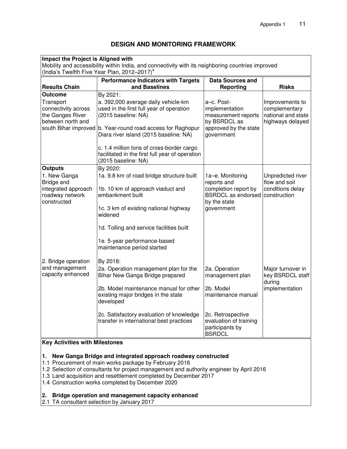## **DESIGN AND MONITORING FRAMEWORK**

| Impact the Project is Aligned with<br>Mobility and accessibility within India, and connectivity with its neighboring countries improved<br>(India's Twelfth Five Year Plan, 2012-2017) <sup>a</sup>                                                                                                                                               |                                                                                                                                                                                                                                                                                            |                                                                                                            |                                                                            |
|---------------------------------------------------------------------------------------------------------------------------------------------------------------------------------------------------------------------------------------------------------------------------------------------------------------------------------------------------|--------------------------------------------------------------------------------------------------------------------------------------------------------------------------------------------------------------------------------------------------------------------------------------------|------------------------------------------------------------------------------------------------------------|----------------------------------------------------------------------------|
| <b>Results Chain</b>                                                                                                                                                                                                                                                                                                                              | <b>Performance Indicators with Targets</b><br>and Baselines                                                                                                                                                                                                                                | <b>Data Sources and</b><br><b>Reporting</b>                                                                | <b>Risks</b>                                                               |
| <b>Outcome</b>                                                                                                                                                                                                                                                                                                                                    | By 2021:                                                                                                                                                                                                                                                                                   |                                                                                                            |                                                                            |
| Transport<br>connectivity across<br>the Ganges River<br>between north and<br>south Bihar improved                                                                                                                                                                                                                                                 | a. 392,000 average daily vehicle-km<br>used in the first full year of operation<br>(2015 baseline: NA)<br>b. Year-round road access for Raghopur<br>Diara river island (2015 baseline: NA)<br>c. 1.4 million tons of cross-border cargo<br>facilitated in the first full year of operation | a-c. Post-<br>implementation<br>measurement reports<br>by BSRDCL as<br>approved by the state<br>government | Improvements to<br>complementary<br>national and state<br>highways delayed |
|                                                                                                                                                                                                                                                                                                                                                   | (2015 baseline: NA)                                                                                                                                                                                                                                                                        |                                                                                                            |                                                                            |
| <b>Outputs</b><br>1. New Ganga                                                                                                                                                                                                                                                                                                                    | By 2020:<br>1a. 9.8 km of road bridge structure built                                                                                                                                                                                                                                      | 1a-e. Monitoring                                                                                           | Unpredicted river                                                          |
| Bridge and<br>integrated approach<br>roadway network<br>constructed                                                                                                                                                                                                                                                                               | 1b. 10 km of approach viaduct and<br>embankment built<br>1c. 3 km of existing national highway<br>widened<br>1d. Tolling and service facilities built                                                                                                                                      | reports and<br>completion report by<br><b>BSRDCL</b> as endorsed<br>by the state<br>government             | flow and soil<br>conditions delay<br>construction                          |
| 2. Bridge operation                                                                                                                                                                                                                                                                                                                               | 1e. 5-year performance-based<br>maintenance period started<br>By 2018:                                                                                                                                                                                                                     |                                                                                                            |                                                                            |
| and management<br>capacity enhanced                                                                                                                                                                                                                                                                                                               | 2a. Operation management plan for the<br>Bihar New Ganga Bridge prepared<br>2b. Model maintenance manual for other<br>existing major bridges in the state<br>developed                                                                                                                     | 2a. Operation<br>management plan<br>2b. Model<br>maintenance manual                                        | Major turnover in<br>key BSRDCL staff<br>during<br>implementation          |
|                                                                                                                                                                                                                                                                                                                                                   | 2c. Satisfactory evaluation of knowledge<br>transfer in international best practices                                                                                                                                                                                                       | 2c. Retrospective<br>evaluation of training<br>participants by<br><b>BSRDCL</b>                            |                                                                            |
| <b>Key Activities with Milestones</b>                                                                                                                                                                                                                                                                                                             |                                                                                                                                                                                                                                                                                            |                                                                                                            |                                                                            |
| New Ganga Bridge and integrated approach roadway constructed<br>1.<br>1.1 Procurement of main works package by February 2016<br>1.2 Selection of consultants for project management and authority engineer by April 2016<br>1.3 Land acquisition and resettlement completed by December 2017<br>1.4 Construction works completed by December 2020 |                                                                                                                                                                                                                                                                                            |                                                                                                            |                                                                            |

#### **2. Bridge operation and management capacity enhanced**

2.1 TA consultant selection by January 2017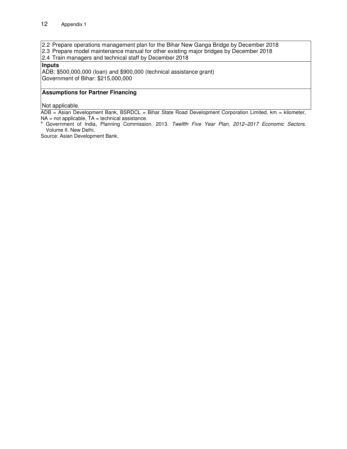2.2 Prepare operations management plan for the Bihar New Ganga Bridge by December 2018

2.3 Prepare model maintenance manual for other existing major bridges by December 2018

2.4 Train managers and technical staff by December 2018

#### **Inputs**

ADB: \$500,000,000 (loan) and \$900,000 (technical assistance grant) Government of Bihar: \$215,000,000

#### **Assumptions for Partner Financing**

Not applicable.

ADB = Asian Development Bank, BSRDCL = Bihar State Road Development Corporation Limited, km = kilometer,  $NA = not applicable, TA = technical assistance.$ <br>  $\frac{a}{b}$  Government of the Common Common Common Common Common Common Common Common Common Common Common Common Common Common Common Common Common Common Common Common Common Common Common Common Common Comm

Government of India, Planning Commission. 2013. Twelfth Five Year Plan, 2012-2017 Economic Sectors. Volume II. New Delhi.

Source: Asian Development Bank.